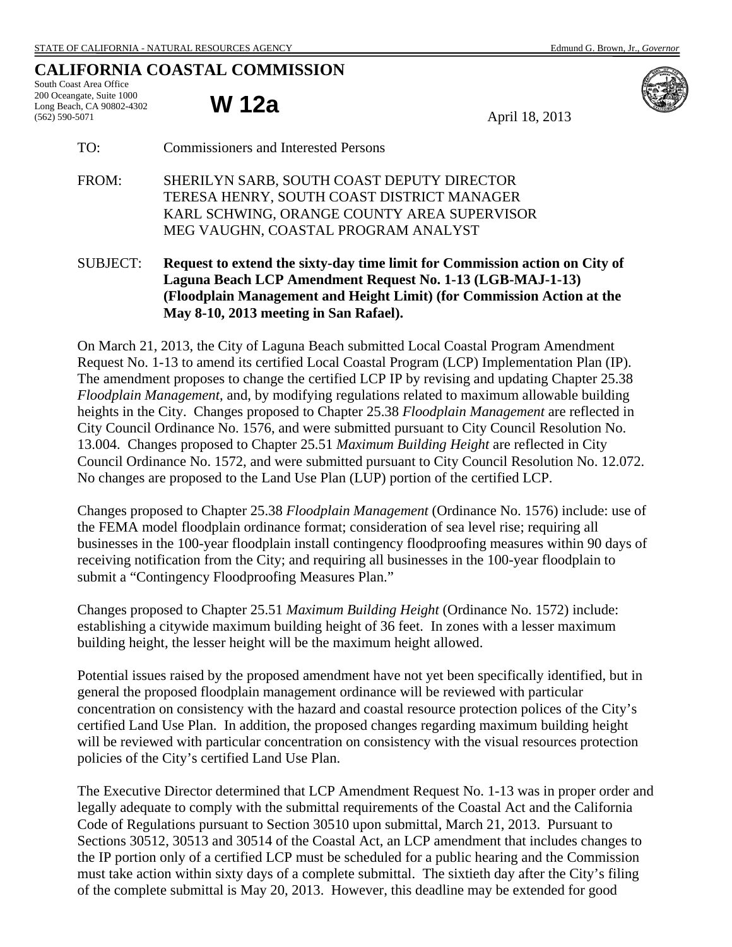## **CALIFORNIA COASTAL COMMISSION**

South Coast Area Office 200 Oceangate, Suite 1000 Long Beach, CA 90802-4302 (562) 590-5071

**W 12a** April 18, 2013



- FROM: SHERILYN SARB, SOUTH COAST DEPUTY DIRECTOR TERESA HENRY, SOUTH COAST DISTRICT MANAGER KARL SCHWING, ORANGE COUNTY AREA SUPERVISOR MEG VAUGHN, COASTAL PROGRAM ANALYST
- SUBJECT: **Request to extend the sixty-day time limit for Commission action on City of Laguna Beach LCP Amendment Request No. 1-13 (LGB-MAJ-1-13) (Floodplain Management and Height Limit) (for Commission Action at the May 8-10, 2013 meeting in San Rafael).**

On March 21, 2013, the City of Laguna Beach submitted Local Coastal Program Amendment Request No. 1-13 to amend its certified Local Coastal Program (LCP) Implementation Plan (IP). The amendment proposes to change the certified LCP IP by revising and updating Chapter 25.38 *Floodplain Management*, and, by modifying regulations related to maximum allowable building heights in the City. Changes proposed to Chapter 25.38 *Floodplain Management* are reflected in City Council Ordinance No. 1576, and were submitted pursuant to City Council Resolution No. 13.004. Changes proposed to Chapter 25.51 *Maximum Building Height* are reflected in City Council Ordinance No. 1572, and were submitted pursuant to City Council Resolution No. 12.072. No changes are proposed to the Land Use Plan (LUP) portion of the certified LCP.

Changes proposed to Chapter 25.38 *Floodplain Management* (Ordinance No. 1576) include: use of the FEMA model floodplain ordinance format; consideration of sea level rise; requiring all businesses in the 100-year floodplain install contingency floodproofing measures within 90 days of receiving notification from the City; and requiring all businesses in the 100-year floodplain to submit a "Contingency Floodproofing Measures Plan."

Changes proposed to Chapter 25.51 *Maximum Building Height* (Ordinance No. 1572) include: establishing a citywide maximum building height of 36 feet. In zones with a lesser maximum building height, the lesser height will be the maximum height allowed.

Potential issues raised by the proposed amendment have not yet been specifically identified, but in general the proposed floodplain management ordinance will be reviewed with particular concentration on consistency with the hazard and coastal resource protection polices of the City's certified Land Use Plan. In addition, the proposed changes regarding maximum building height will be reviewed with particular concentration on consistency with the visual resources protection policies of the City's certified Land Use Plan.

The Executive Director determined that LCP Amendment Request No. 1-13 was in proper order and legally adequate to comply with the submittal requirements of the Coastal Act and the California Code of Regulations pursuant to Section 30510 upon submittal, March 21, 2013. Pursuant to Sections 30512, 30513 and 30514 of the Coastal Act, an LCP amendment that includes changes to the IP portion only of a certified LCP must be scheduled for a public hearing and the Commission must take action within sixty days of a complete submittal. The sixtieth day after the City's filing of the complete submittal is May 20, 2013. However, this deadline may be extended for good